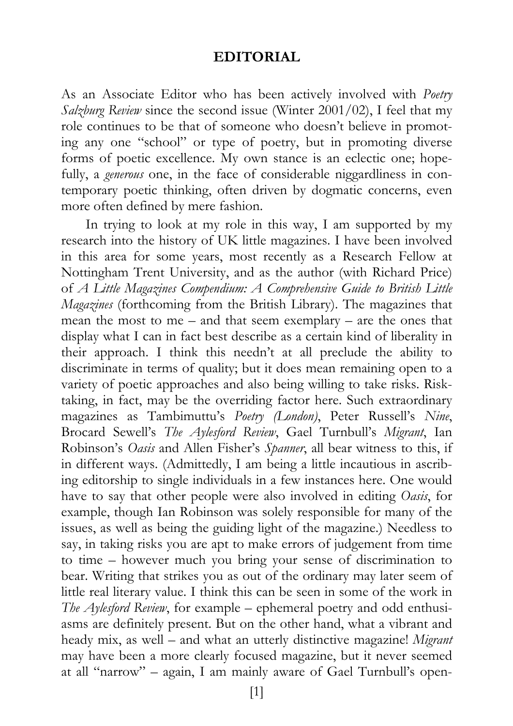## **EDITORIAL**

As an Associate Editor who has been actively involved with *Poetry Salzburg Review* since the second issue (Winter 2001/02), I feel that my role continues to be that of someone who doesn't believe in promoting any one "school" or type of poetry, but in promoting diverse forms of poetic excellence. My own stance is an eclectic one; hopefully, a *generous* one, in the face of considerable niggardliness in contemporary poetic thinking, often driven by dogmatic concerns, even more often defined by mere fashion.

In trying to look at my role in this way, I am supported by my research into the history of UK little magazines. I have been involved in this area for some years, most recently as a Research Fellow at Nottingham Trent University, and as the author (with Richard Price) of *A Little Magazines Compendium: A Comprehensive Guide to British Little Magazines* (forthcoming from the British Library). The magazines that mean the most to me – and that seem exemplary – are the ones that display what I can in fact best describe as a certain kind of liberality in their approach. I think this needn't at all preclude the ability to discriminate in terms of quality; but it does mean remaining open to a variety of poetic approaches and also being willing to take risks. Risktaking, in fact, may be the overriding factor here. Such extraordinary magazines as Tambimuttu's *Poetry (London)*, Peter Russell's *Nine*, Brocard Sewell's *The Aylesford Review*, Gael Turnbull's *Migrant*, Ian Robinson's *Oasis* and Allen Fisher's *Spanner*, all bear witness to this, if in different ways. (Admittedly, I am being a little incautious in ascribing editorship to single individuals in a few instances here. One would have to say that other people were also involved in editing *Oasis*, for example, though Ian Robinson was solely responsible for many of the issues, as well as being the guiding light of the magazine.) Needless to say, in taking risks you are apt to make errors of judgement from time to time – however much you bring your sense of discrimination to bear. Writing that strikes you as out of the ordinary may later seem of little real literary value. I think this can be seen in some of the work in *The Aylesford Review*, for example – ephemeral poetry and odd enthusiasms are definitely present. But on the other hand, what a vibrant and heady mix, as well – and what an utterly distinctive magazine! *Migrant* may have been a more clearly focused magazine, but it never seemed at all "narrow" – again, I am mainly aware of Gael Turnbull's open